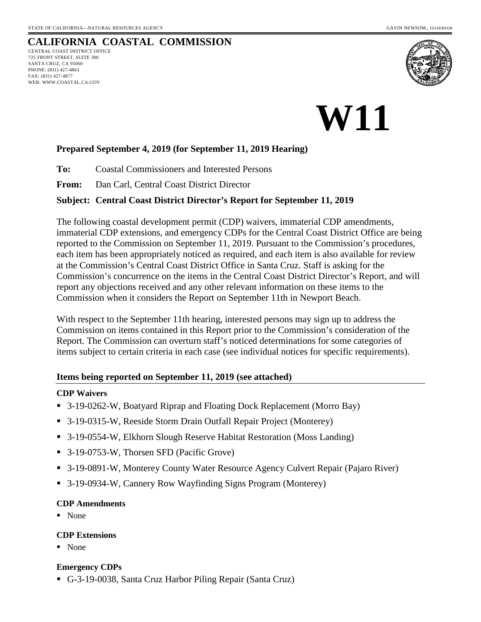WEB: WWW.COASTAL.CA.GOV

#### **CALIFORNIA COASTAL COMMISSION** CENTRAL COAST DISTRICT OFFICE 725 FRONT STREET, SUITE 300 SANTA CRUZ, CA 95060 PHONE: (831) 427-4863 FAX: (831) 427-4877



# **W11**

#### **Prepared September 4, 2019 (for September 11, 2019 Hearing)**

**To:** Coastal Commissioners and Interested Persons

**From:** Dan Carl, Central Coast District Director

#### **Subject: Central Coast District Director's Report for September 11, 2019**

The following coastal development permit (CDP) waivers, immaterial CDP amendments, immaterial CDP extensions, and emergency CDPs for the Central Coast District Office are being reported to the Commission on September 11, 2019. Pursuant to the Commission's procedures, each item has been appropriately noticed as required, and each item is also available for review at the Commission's Central Coast District Office in Santa Cruz. Staff is asking for the Commission's concurrence on the items in the Central Coast District Director's Report, and will report any objections received and any other relevant information on these items to the Commission when it considers the Report on September 11th in Newport Beach.

With respect to the September 11th hearing, interested persons may sign up to address the Commission on items contained in this Report prior to the Commission's consideration of the Report. The Commission can overturn staff's noticed determinations for some categories of items subject to certain criteria in each case (see individual notices for specific requirements).

#### **Items being reported on September 11, 2019 (see attached)**

#### **CDP Waivers**

- 3-19-0262-W, Boatyard Riprap and Floating Dock Replacement (Morro Bay)
- 3-19-0315-W, Reeside Storm Drain Outfall Repair Project (Monterey)
- 3-19-0554-W, Elkhorn Slough Reserve Habitat Restoration (Moss Landing)
- 3-19-0753-W, Thorsen SFD (Pacific Grove)
- 3-19-0891-W, Monterey County Water Resource Agency Culvert Repair (Pajaro River)
- 3-19-0934-W, Cannery Row Wayfinding Signs Program (Monterey)

#### **CDP Amendments**

• None

#### **CDP Extensions**

• None

#### **Emergency CDPs**

G-3-19-0038, Santa Cruz Harbor Piling Repair (Santa Cruz)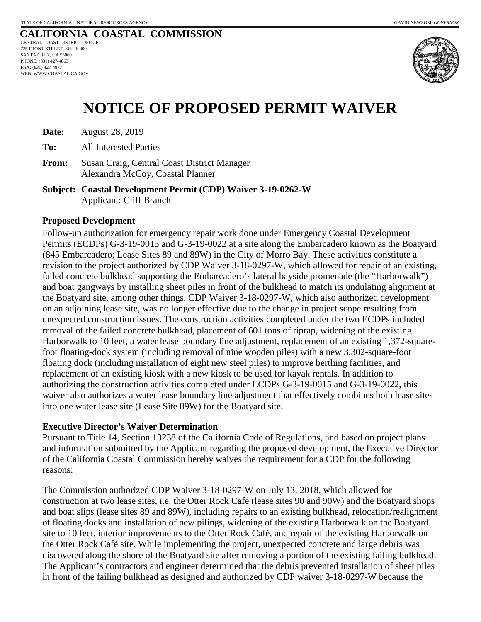

# **NOTICE OF PROPOSED PERMIT WAIVER**

| Date: | <b>August 28, 2019</b> |  |
|-------|------------------------|--|
|-------|------------------------|--|

**To:** All Interested Parties

**From:** Susan Craig, Central Coast District Manager Alexandra McCoy, Coastal Planner

**Subject: Coastal Development Permit (CDP) Waiver 3-19-0262-W** Applicant: Cliff Branch

#### **Proposed Development**

Follow-up authorization for emergency repair work done under Emergency Coastal Development Permits (ECDPs) G-3-19-0015 and G-3-19-0022 at a site along the Embarcadero known as the Boatyard (845 Embarcadero; Lease Sites 89 and 89W) in the City of Morro Bay. These activities constitute a revision to the project authorized by CDP Waiver 3-18-0297-W, which allowed for repair of an existing, failed concrete bulkhead supporting the Embarcadero's lateral bayside promenade (the "Harborwalk") and boat gangways by installing sheet piles in front of the bulkhead to match its undulating alignment at the Boatyard site, among other things. CDP Waiver 3-18-0297-W, which also authorized development on an adjoining lease site, was no longer effective due to the change in project scope resulting from unexpected construction issues. The construction activities completed under the two ECDPs included removal of the failed concrete bulkhead, placement of 601 tons of riprap, widening of the existing Harborwalk to 10 feet, a water lease boundary line adjustment, replacement of an existing 1,372-squarefoot floating-dock system (including removal of nine wooden piles) with a new 3,302-square-foot floating dock (including installation of eight new steel piles) to improve berthing facilities, and replacement of an existing kiosk with a new kiosk to be used for kayak rentals. In addition to authorizing the construction activities completed under ECDPs G-3-19-0015 and G-3-19-0022, this waiver also authorizes a water lease boundary line adjustment that effectively combines both lease sites into one water lease site (Lease Site 89W) for the Boatyard site.

#### **Executive Director's Waiver Determination**

Pursuant to Title 14, Section 13238 of the California Code of Regulations, and based on project plans and information submitted by the Applicant regarding the proposed development, the Executive Director of the California Coastal Commission hereby waives the requirement for a CDP for the following reasons:

The Commission authorized CDP Waiver 3-18-0297-W on July 13, 2018, which allowed for construction at two lease sites, i.e. the Otter Rock Café (lease sites 90 and 90W) and the Boatyard shops and boat slips (lease sites 89 and 89W), including repairs to an existing bulkhead, relocation/realignment of floating docks and installation of new pilings, widening of the existing Harborwalk on the Boatyard site to 10 feet, interior improvements to the Otter Rock Café, and repair of the existing Harborwalk on the Otter Rock Café site. While implementing the project, unexpected concrete and large debris was discovered along the shore of the Boatyard site after removing a portion of the existing failing bulkhead. The Applicant's contractors and engineer determined that the debris prevented installation of sheet piles in front of the failing bulkhead as designed and authorized by CDP waiver 3-18-0297-W because the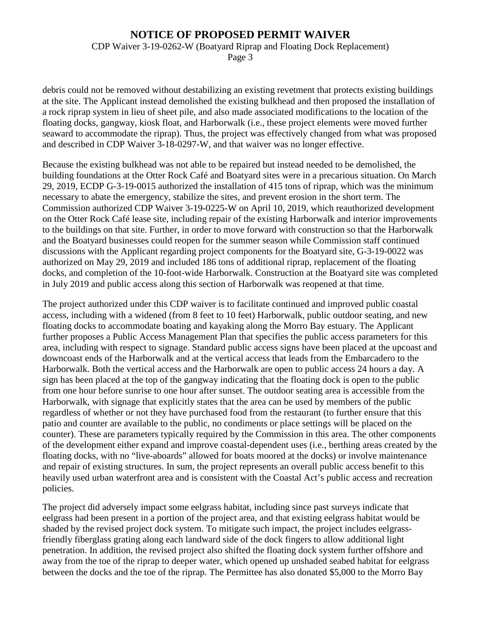CDP Waiver 3-19-0262-W (Boatyard Riprap and Floating Dock Replacement)

Page 3

debris could not be removed without destabilizing an existing revetment that protects existing buildings at the site. The Applicant instead demolished the existing bulkhead and then proposed the installation of a rock riprap system in lieu of sheet pile, and also made associated modifications to the location of the floating docks, gangway, kiosk float, and Harborwalk (i.e., these project elements were moved further seaward to accommodate the riprap). Thus, the project was effectively changed from what was proposed and described in CDP Waiver 3-18-0297-W, and that waiver was no longer effective.

Because the existing bulkhead was not able to be repaired but instead needed to be demolished, the building foundations at the Otter Rock Café and Boatyard sites were in a precarious situation. On March 29, 2019, ECDP G-3-19-0015 authorized the installation of 415 tons of riprap, which was the minimum necessary to abate the emergency, stabilize the sites, and prevent erosion in the short term. The Commission authorized CDP Waiver 3-19-0225-W on April 10, 2019, which reauthorized development on the Otter Rock Café lease site, including repair of the existing Harborwalk and interior improvements to the buildings on that site. Further, in order to move forward with construction so that the Harborwalk and the Boatyard businesses could reopen for the summer season while Commission staff continued discussions with the Applicant regarding project components for the Boatyard site, G-3-19-0022 was authorized on May 29, 2019 and included 186 tons of additional riprap, replacement of the floating docks, and completion of the 10-foot-wide Harborwalk. Construction at the Boatyard site was completed in July 2019 and public access along this section of Harborwalk was reopened at that time.

The project authorized under this CDP waiver is to facilitate continued and improved public coastal access, including with a widened (from 8 feet to 10 feet) Harborwalk, public outdoor seating, and new floating docks to accommodate boating and kayaking along the Morro Bay estuary. The Applicant further proposes a Public Access Management Plan that specifies the public access parameters for this area, including with respect to signage. Standard public access signs have been placed at the upcoast and downcoast ends of the Harborwalk and at the vertical access that leads from the Embarcadero to the Harborwalk. Both the vertical access and the Harborwalk are open to public access 24 hours a day. A sign has been placed at the top of the gangway indicating that the floating dock is open to the public from one hour before sunrise to one hour after sunset. The outdoor seating area is accessible from the Harborwalk, with signage that explicitly states that the area can be used by members of the public regardless of whether or not they have purchased food from the restaurant (to further ensure that this patio and counter are available to the public, no condiments or place settings will be placed on the counter). These are parameters typically required by the Commission in this area. The other components of the development either expand and improve coastal-dependent uses (i.e., berthing areas created by the floating docks, with no "live-aboards" allowed for boats moored at the docks) or involve maintenance and repair of existing structures. In sum, the project represents an overall public access benefit to this heavily used urban waterfront area and is consistent with the Coastal Act's public access and recreation policies.

The project did adversely impact some eelgrass habitat, including since past surveys indicate that eelgrass had been present in a portion of the project area, and that existing eelgrass habitat would be shaded by the revised project dock system. To mitigate such impact, the project includes eelgrassfriendly fiberglass grating along each landward side of the dock fingers to allow additional light penetration. In addition, the revised project also shifted the floating dock system further offshore and away from the toe of the riprap to deeper water, which opened up unshaded seabed habitat for eelgrass between the docks and the toe of the riprap. The Permittee has also donated \$5,000 to the Morro Bay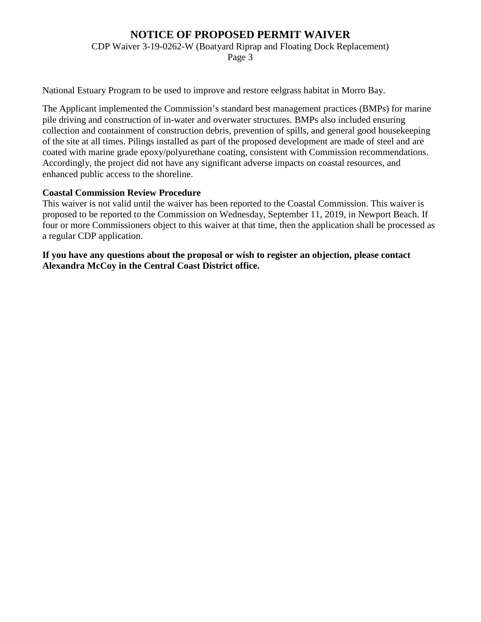CDP Waiver 3-19-0262-W (Boatyard Riprap and Floating Dock Replacement)

Page 3

National Estuary Program to be used to improve and restore eelgrass habitat in Morro Bay.

The Applicant implemented the Commission's standard best management practices (BMPs) for marine pile driving and construction of in-water and overwater structures. BMPs also included ensuring collection and containment of construction debris, prevention of spills, and general good housekeeping of the site at all times. Pilings installed as part of the proposed development are made of steel and are coated with marine grade epoxy/polyurethane coating, consistent with Commission recommendations. Accordingly, the project did not have any significant adverse impacts on coastal resources, and enhanced public access to the shoreline.

#### **Coastal Commission Review Procedure**

This waiver is not valid until the waiver has been reported to the Coastal Commission. This waiver is proposed to be reported to the Commission on Wednesday, September 11, 2019, in Newport Beach. If four or more Commissioners object to this waiver at that time, then the application shall be processed as a regular CDP application.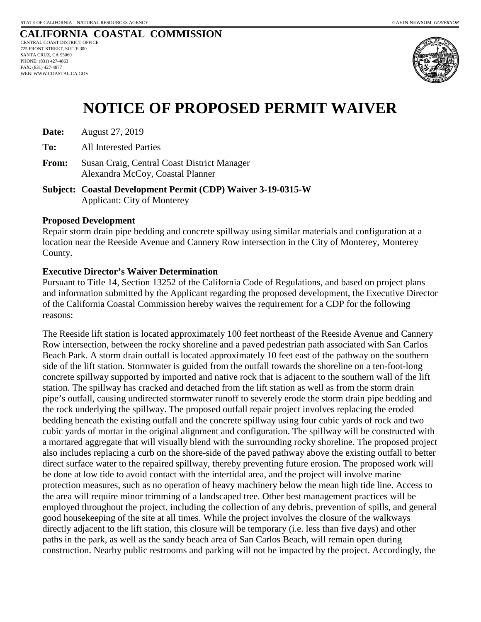

# **NOTICE OF PROPOSED PERMIT WAIVER**

**Date:** August 27, 2019

**To:** All Interested Parties

**From:** Susan Craig, Central Coast District Manager Alexandra McCoy, Coastal Planner

**Subject: Coastal Development Permit (CDP) Waiver 3-19-0315-W** Applicant: City of Monterey

#### **Proposed Development**

Repair storm drain pipe bedding and concrete spillway using similar materials and configuration at a location near the Reeside Avenue and Cannery Row intersection in the City of Monterey, Monterey County.

#### **Executive Director's Waiver Determination**

Pursuant to Title 14, Section 13252 of the California Code of Regulations, and based on project plans and information submitted by the Applicant regarding the proposed development, the Executive Director of the California Coastal Commission hereby waives the requirement for a CDP for the following reasons:

The Reeside lift station is located approximately 100 feet northeast of the Reeside Avenue and Cannery Row intersection, between the rocky shoreline and a paved pedestrian path associated with San Carlos Beach Park. A storm drain outfall is located approximately 10 feet east of the pathway on the southern side of the lift station. Stormwater is guided from the outfall towards the shoreline on a ten-foot-long concrete spillway supported by imported and native rock that is adjacent to the southern wall of the lift station. The spillway has cracked and detached from the lift station as well as from the storm drain pipe's outfall, causing undirected stormwater runoff to severely erode the storm drain pipe bedding and the rock underlying the spillway. The proposed outfall repair project involves replacing the eroded bedding beneath the existing outfall and the concrete spillway using four cubic yards of rock and two cubic yards of mortar in the original alignment and configuration. The spillway will be constructed with a mortared aggregate that will visually blend with the surrounding rocky shoreline. The proposed project also includes replacing a curb on the shore-side of the paved pathway above the existing outfall to better direct surface water to the repaired spillway, thereby preventing future erosion. The proposed work will be done at low tide to avoid contact with the intertidal area, and the project will involve marine protection measures, such as no operation of heavy machinery below the mean high tide line. Access to the area will require minor trimming of a landscaped tree. Other best management practices will be employed throughout the project, including the collection of any debris, prevention of spills, and general good housekeeping of the site at all times. While the project involves the closure of the walkways directly adjacent to the lift station, this closure will be temporary (i.e. less than five days) and other paths in the park, as well as the sandy beach area of San Carlos Beach, will remain open during construction. Nearby public restrooms and parking will not be impacted by the project. Accordingly, the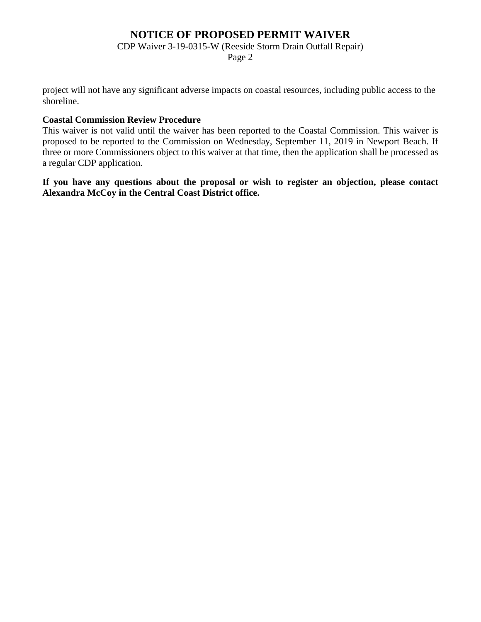CDP Waiver 3-19-0315-W (Reeside Storm Drain Outfall Repair)

Page 2

project will not have any significant adverse impacts on coastal resources, including public access to the shoreline.

#### **Coastal Commission Review Procedure**

This waiver is not valid until the waiver has been reported to the Coastal Commission. This waiver is proposed to be reported to the Commission on Wednesday, September 11, 2019 in Newport Beach. If three or more Commissioners object to this waiver at that time, then the application shall be processed as a regular CDP application.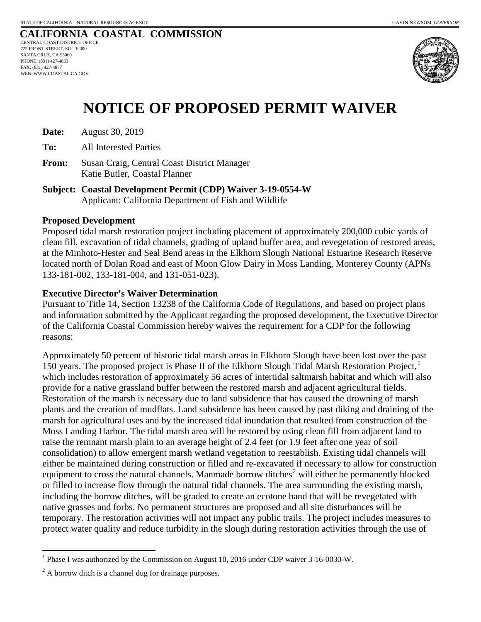

# **NOTICE OF PROPOSED PERMIT WAIVER**

| Date: | August 30, 2019 |  |
|-------|-----------------|--|
|-------|-----------------|--|

**To:** All Interested Parties

- **From:** Susan Craig, Central Coast District Manager Katie Butler, Coastal Planner
- **Subject: Coastal Development Permit (CDP) Waiver 3-19-0554-W** Applicant: California Department of Fish and Wildlife

#### **Proposed Development**

Proposed tidal marsh restoration project including placement of approximately 200,000 cubic yards of clean fill, excavation of tidal channels, grading of upland buffer area, and revegetation of restored areas, at the Minhoto-Hester and Seal Bend areas in the Elkhorn Slough National Estuarine Research Reserve located north of Dolan Road and east of Moon Glow Dairy in Moss Landing, Monterey County (APNs 133-181-002, 133-181-004, and 131-051-023).

#### **Executive Director's Waiver Determination**

Pursuant to Title 14, Section 13238 of the California Code of Regulations, and based on project plans and information submitted by the Applicant regarding the proposed development, the Executive Director of the California Coastal Commission hereby waives the requirement for a CDP for the following reasons:

Approximately 50 percent of historic tidal marsh areas in Elkhorn Slough have been lost over the past [1](#page-6-0)50 years. The proposed project is Phase II of the Elkhorn Slough Tidal Marsh Restoration Project,<sup>1</sup> which includes restoration of approximately 56 acres of intertidal saltmarsh habitat and which will also provide for a native grassland buffer between the restored marsh and adjacent agricultural fields. Restoration of the marsh is necessary due to land subsidence that has caused the drowning of marsh plants and the creation of mudflats. Land subsidence has been caused by past diking and draining of the marsh for agricultural uses and by the increased tidal inundation that resulted from construction of the Moss Landing Harbor. The tidal marsh area will be restored by using clean fill from adjacent land to raise the remnant marsh plain to an average height of 2.4 feet (or 1.9 feet after one year of soil consolidation) to allow emergent marsh wetland vegetation to reestablish. Existing tidal channels will either be maintained during construction or filled and re-excavated if necessary to allow for construction equipment to cross the natural channels. Manmade borrow ditches<sup>[2](#page-6-1)</sup> will either be permanently blocked or filled to increase flow through the natural tidal channels. The area surrounding the existing marsh, including the borrow ditches, will be graded to create an ecotone band that will be revegetated with native grasses and forbs. No permanent structures are proposed and all site disturbances will be temporary. The restoration activities will not impact any public trails. The project includes measures to protect water quality and reduce turbidity in the slough during restoration activities through the use of

<span id="page-6-0"></span><sup>&</sup>lt;sup>1</sup> Phase I was authorized by the Commission on August 10, 2016 under CDP waiver 3-16-0030-W.

<span id="page-6-1"></span> $^{2}$  A borrow ditch is a channel dug for drainage purposes.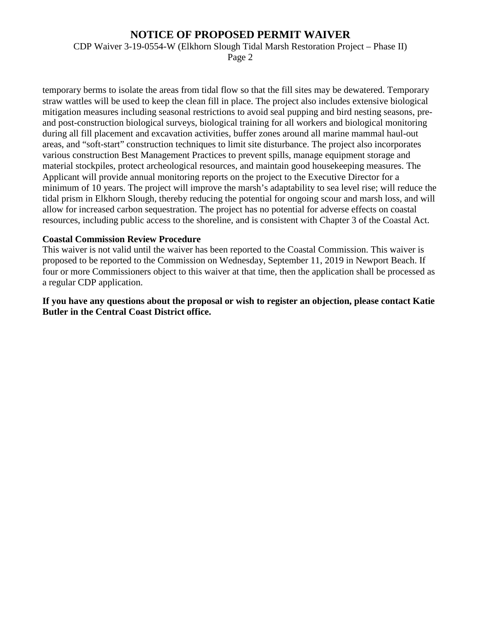CDP Waiver 3-19-0554-W (Elkhorn Slough Tidal Marsh Restoration Project – Phase II)

Page 2

temporary berms to isolate the areas from tidal flow so that the fill sites may be dewatered. Temporary straw wattles will be used to keep the clean fill in place. The project also includes extensive biological mitigation measures including seasonal restrictions to avoid seal pupping and bird nesting seasons, preand post-construction biological surveys, biological training for all workers and biological monitoring during all fill placement and excavation activities, buffer zones around all marine mammal haul-out areas, and "soft-start" construction techniques to limit site disturbance. The project also incorporates various construction Best Management Practices to prevent spills, manage equipment storage and material stockpiles, protect archeological resources, and maintain good housekeeping measures. The Applicant will provide annual monitoring reports on the project to the Executive Director for a minimum of 10 years. The project will improve the marsh's adaptability to sea level rise; will reduce the tidal prism in Elkhorn Slough, thereby reducing the potential for ongoing scour and marsh loss, and will allow for increased carbon sequestration. The project has no potential for adverse effects on coastal resources, including public access to the shoreline, and is consistent with Chapter 3 of the Coastal Act.

#### **Coastal Commission Review Procedure**

This waiver is not valid until the waiver has been reported to the Coastal Commission. This waiver is proposed to be reported to the Commission on Wednesday, September 11, 2019 in Newport Beach. If four or more Commissioners object to this waiver at that time, then the application shall be processed as a regular CDP application.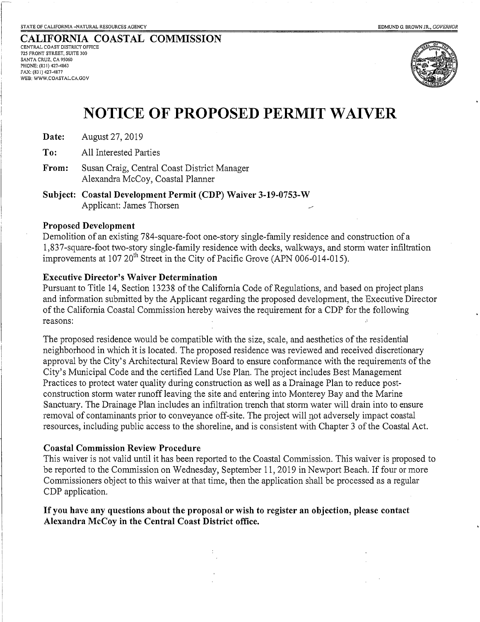**CALIFORNIA COASTAL COMMISSION** CENTRAL COAST DISTRICT OFFICE 725 FRONT STREET, SUITE 300 SANTA CRUZ, CA 95060 PHONE: (831) 427-4863

FAX: (831) 427-4877 WEB: WWW.COASTAL.CA.GOV



## **NOTICE OF PROPOSED PERMIT WAIVER**

**Date:** August 27, 2019

**To:** All Interested Parties

**From:** Susan Craig, Central Coast District Manager Alexandra McCoy, Coastal Planner

**Subject: Coastal Development Permit (CDP) Waiver 3-19-0753-W**  Applicant: James Thorsen

#### **Proposed Development**

Demolition of an existing 784-square-foot one-story single-family residence and construction of a 1,837-square-foot two-story single-family residence with decks, walkways, and storm water infiltration improvements at  $107 20^{th}$  Street in the City of Pacific Grove (APN 006-014-015).

#### **Executive Director's Waiver Determination**

Pursuant to Title 14, Section 13238 of the California Code of Regulations, and based on project plans and information submitted by the Applicant regarding the proposed development, the Executive Director of the California Coastal Commission hereby waives the requirement for a CDP for the following reasons:

The proposed residence would be compatible with the size, scale, and aesthetics of the residential neighborhood in which it is located. The proposed residence was reviewed and received discretionary approval by the City's Architectural Review Board to ensure conformance with the requirements of the City's Municipal Code and the certified Land Use Plan. The project includes Best Management Practices to protect water quality during construction as well as a Drainage Plan to reduce postconstruction storm water runoff leaving the site and entering into Monterey Bay and the Marine Sanctuary. The Drainage Plan includes an infiltration trench that storm water will drain into to ensure removal of contaminants prior to conveyance off-site. The project will not adversely impact coastal resources, including public access to the shoreline, and is consistent with Chapter 3 of the Coastal Act.

#### **Coastal Commission Review Procedure**

This waiver is not valid until it has been reported to the Coastal Commission. This waiver is proposed to be reported to the Commission on Wednesday, September 11, 2019 in Newport Beach. If four or more Commissioners object to this waiver at that time, then the application shall be processed as a regular CDP application.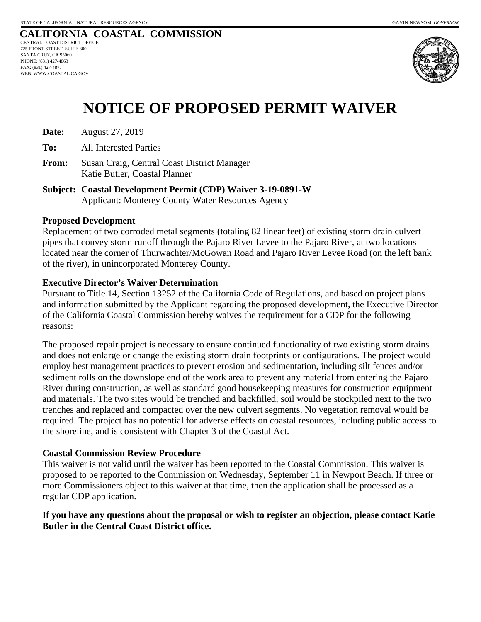

# **NOTICE OF PROPOSED PERMIT WAIVER**

**Date:** August 27, 2019

**To:** All Interested Parties

**From:** Susan Craig, Central Coast District Manager Katie Butler, Coastal Planner

**Subject: Coastal Development Permit (CDP) Waiver 3-19-0891-W**  Applicant: Monterey County Water Resources Agency

#### **Proposed Development**

Replacement of two corroded metal segments (totaling 82 linear feet) of existing storm drain culvert pipes that convey storm runoff through the Pajaro River Levee to the Pajaro River, at two locations located near the corner of Thurwachter/McGowan Road and Pajaro River Levee Road (on the left bank of the river), in unincorporated Monterey County.

#### **Executive Director's Waiver Determination**

Pursuant to Title 14, Section 13252 of the California Code of Regulations, and based on project plans and information submitted by the Applicant regarding the proposed development, the Executive Director of the California Coastal Commission hereby waives the requirement for a CDP for the following reasons:

The proposed repair project is necessary to ensure continued functionality of two existing storm drains and does not enlarge or change the existing storm drain footprints or configurations. The project would employ best management practices to prevent erosion and sedimentation, including silt fences and/or sediment rolls on the downslope end of the work area to prevent any material from entering the Pajaro River during construction, as well as standard good housekeeping measures for construction equipment and materials. The two sites would be trenched and backfilled; soil would be stockpiled next to the two trenches and replaced and compacted over the new culvert segments. No vegetation removal would be required. The project has no potential for adverse effects on coastal resources, including public access to the shoreline, and is consistent with Chapter 3 of the Coastal Act.

#### **Coastal Commission Review Procedure**

This waiver is not valid until the waiver has been reported to the Coastal Commission. This waiver is proposed to be reported to the Commission on Wednesday, September 11 in Newport Beach. If three or more Commissioners object to this waiver at that time, then the application shall be processed as a regular CDP application.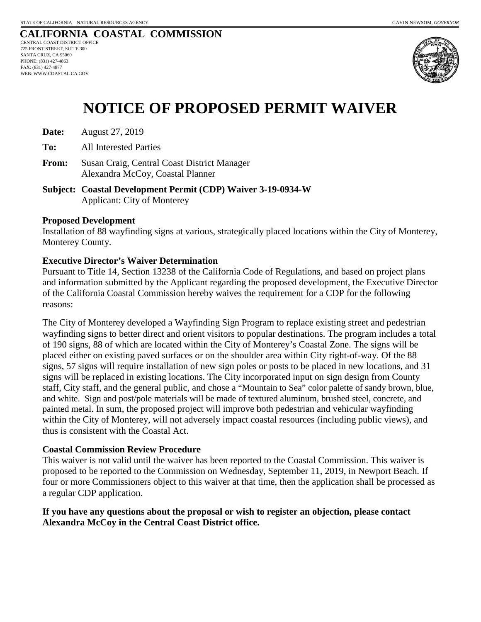

# **NOTICE OF PROPOSED PERMIT WAIVER**

**Date:** August 27, 2019

**To:** All Interested Parties

**From:** Susan Craig, Central Coast District Manager Alexandra McCoy, Coastal Planner

**Subject: Coastal Development Permit (CDP) Waiver 3-19-0934-W** Applicant: City of Monterey

#### **Proposed Development**

Installation of 88 wayfinding signs at various, strategically placed locations within the City of Monterey, Monterey County.

#### **Executive Director's Waiver Determination**

Pursuant to Title 14, Section 13238 of the California Code of Regulations, and based on project plans and information submitted by the Applicant regarding the proposed development, the Executive Director of the California Coastal Commission hereby waives the requirement for a CDP for the following reasons:

The City of Monterey developed a Wayfinding Sign Program to replace existing street and pedestrian wayfinding signs to better direct and orient visitors to popular destinations. The program includes a total of 190 signs, 88 of which are located within the City of Monterey's Coastal Zone. The signs will be placed either on existing paved surfaces or on the shoulder area within City right-of-way. Of the 88 signs, 57 signs will require installation of new sign poles or posts to be placed in new locations, and 31 signs will be replaced in existing locations. The City incorporated input on sign design from County staff, City staff, and the general public, and chose a "Mountain to Sea" color palette of sandy brown, blue, and white. Sign and post/pole materials will be made of textured aluminum, brushed steel, concrete, and painted metal. In sum, the proposed project will improve both pedestrian and vehicular wayfinding within the City of Monterey, will not adversely impact coastal resources (including public views), and thus is consistent with the Coastal Act.

#### **Coastal Commission Review Procedure**

This waiver is not valid until the waiver has been reported to the Coastal Commission. This waiver is proposed to be reported to the Commission on Wednesday, September 11, 2019, in Newport Beach. If four or more Commissioners object to this waiver at that time, then the application shall be processed as a regular CDP application.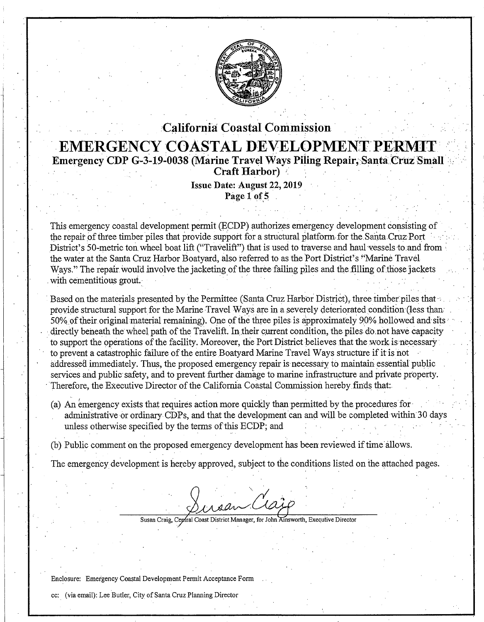

### **'California Coastal Commission** · **EMERGENCY COASTAL DEVELOPMENT PERMI Emergency CDP G-3-19-0038 (Marine Travel Ways Piling Repair, Santa Cruz Small Craft Harbor)**

Issue **Date: August** 22, **2019** . **Page 1 of 5** 

. In the contribution of the contribution of the contribution  $\mathcal{L}_\mathcal{A}$  . In the contribution of the contribution of the contribution of the contribution of the contribution of the contribution of the contribution of

This emergency coastal development permit (ECDP) authorizes emergency development consisting of the repair of three timber piles that provide support for a structural platform for the Santa Cruz Port District's 50-metric ton wheel boat lift ("Travelift") that is used to traverse and haul-vessels to and from the water at the Santa Cruz Harbor Boatyard, also referred to as the Port District's "Marine Travel" Ways." The repair would involve the jacketing of the three failing piles and the filling of those jackets with cementitious grout. . . . . . . .

Based on the materials presented by the Permittee (Santa Cruz Harbor District), three timber piles that provide structural support for the Marine Travel Ways are in a severely deteriorated condition (less than: 50% of their original material remaining). One of the three piles is approximately 90% hollowed and sits directly beneath the wheel path of the Travelift. In their current condition, the piles do not have capacity to support the operations of the facility. Moreover, the Port District believes that the work is necessary to prevent a catastrophic failure of the entire Boatyard Marine Travel Ways structure if it is not addressed immediately. Thus, the proposed emergency repair is necessary to maintain essential public services and public safety, and to prevent further damage to marine infrastructure and private property. Therefore, the Executive Director of the California Coastal Commission hereby finds that:

(a) An emergency exists that requires action more quickly than permitted by the procedures for. administrative or ordinary CDPs, and that the development can and will be completed within 30 days unless otherwise specified by the terms of this ECDP; and

(b) Public comment on the proposed emergency development has been reviewed if time· allows.

The emergency development is hereby approved, subject to the conditions listed on the attached pages.

roan Claz

Susan Craig, Ceptral Coast District Manager, for John Ainsworth, Executive Director

Enclosure: Emergency Coastal Development Permit Acceptance Form

cc: (via email): Lee Butler, City of Santa Cruz Planning Director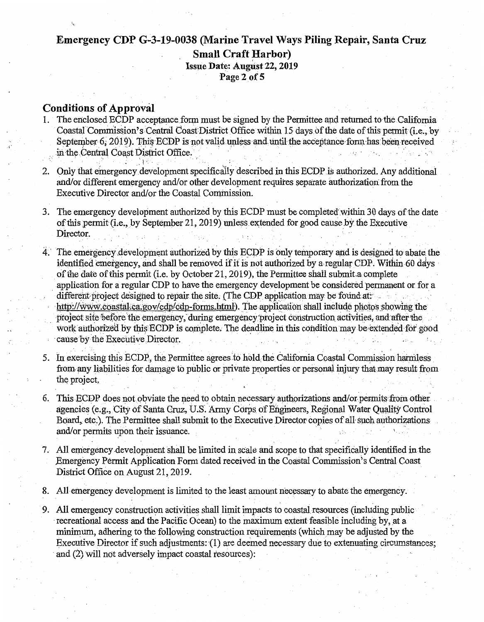### Emergency CDP G-3-19-0038 (Marine Travel Ways Piling Repair, Santa Cruz **Small Craft Harbor) Issue Date: August 22, 2019** Page 2 of 5

#### **Conditions of Approval**

- The enclosed ECDP acceptance form must be signed by the Permittee and returned to the California  $1.$ Coastal Commission's Central Coast District Office within 15 days of the date of this permit (i.e., by September 6, 2019). This ECDP is not valid unless and until the acceptance form has been received in the Central Coast District Office.
- 2. Only that emergency development specifically described in this ECDP is authorized. Any additional and/or different emergency and/or other development requires separate authorization from the Executive Director and/or the Coastal Commission.
- 3. The emergency development authorized by this ECDP must be completed within 30 days of the date of this permit (i.e., by September 21, 2019) unless extended for good cause by the Executive Director.
- 4. The emergency development authorized by this ECDP is only temporary and is designed to abate the identified emergency, and shall be removed if it is not authorized by a regular CDP. Within 60 days of the date of this permit (i.e. by October 21, 2019), the Permittee shall submit a complete application for a regular CDP to have the emergency development be considered permanent or for a different project designed to repair the site. (The CDP application may be found at: http://www.coastal.ca.gov/cdp/cdp-forms.html). The application shall include photos showing the project site before the emergency, during emergency project construction activities, and after the work authorized by this ECDP is complete. The deadline in this condition may be extended for good cause by the Executive Director.
- 5. In exercising this ECDP, the Permittee agrees to hold the California Coastal Commission harmless from any liabilities for damage to public or private properties or personal injury that may result from the project.
- 6. This ECDP does not obviate the need to obtain necessary authorizations and/or permits from other agencies (e.g., City of Santa Cruz, U.S. Army Corps of Engineers, Regional Water Quality Control Board, etc.). The Permittee shall submit to the Executive Director copies of all such authorizations and/or permits upon their issuance.
- 7. All emergency development shall be limited in scale and scope to that specifically identified in the Emergency Permit Application Form dated received in the Coastal Commission's Central Coast District Office on August 21, 2019.
- 8. All emergency development is limited to the least amount necessary to abate the emergency.
- 9. All emergency construction activities shall limit impacts to coastal resources (including public recreational access and the Pacific Ocean) to the maximum extent feasible including by, at a minimum, adhering to the following construction requirements (which may be adjusted by the Executive Director if such adjustments: (1) are deemed necessary due to extenuating circumstances; and (2) will not adversely impact coastal resources):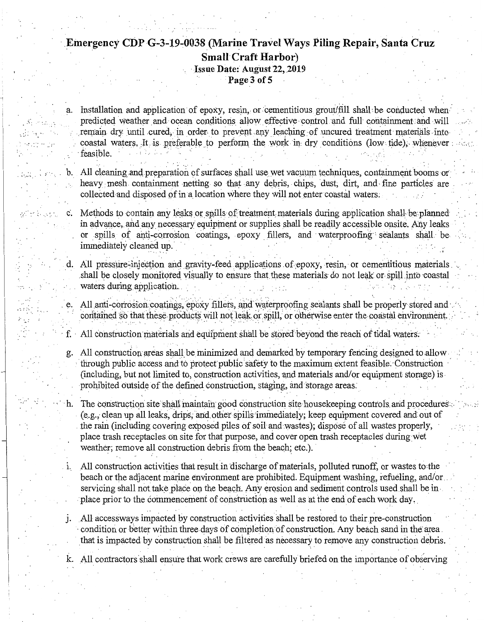### Emergency CDP G-3-19-0038 (Marine Travel Ways Piling Repair, Santa Cruz **Small Craft Harbor**) Issue Date: August 22, 2019 Page 3 of 5

a.

Installation and application of epoxy, resin, or cementitious grout/fill shall be conducted when predicted weather and ocean conditions allow effective control and full containment and will remain dry until cured, in order to prevent any leaching of uncured treatment materials into coastal waters. It is preferable to perform the work in dry conditions (low tide), whenever feasible.

All cleaning and preparation of surfaces shall use wet vacuum techniques, containment booms or heavy mesh containment netting so that any debris, chips, dust, dirt, and fine particles are collected and disposed of in a location where they will not enter coastal waters.

c. Methods to contain any leaks or spills of treatment materials during application shall be planned in advance, and any necessary equipment or supplies shall be readily accessible onsite. Any leaks or spills of anti-corrosion coatings, epoxy fillers, and waterproofing sealants shall be immediately cleaned up.

d. All pressure-injection and gravity-feed applications of epoxy, resin, or cementitious materials shall be closely monitored visually to ensure that these materials do not leak or spill into coastal waters during application.

e. All anti-corrosion coatings, epoxy fillers, and waterproofing sealants shall be properly stored and contained so that these products will not leak or spill, or otherwise enter the coastal environment.

All construction materials and equipment shall be stored beyond the reach of tidal waters. f.  $\cdot$ 

All construction areas shall be minimized and demarked by temporary fencing designed to allow g. through public access and to protect public safety to the maximum extent feasible. Construction (including, but not limited to, construction activities, and materials and/or equipment storage) is prohibited outside of the defined construction, staging, and storage areas.

- The construction site shall maintain good construction site housekeeping controls and procedures. h. (e.g., clean up all leaks, drips, and other spills immediately; keep equipment covered and out of the rain (including covering exposed piles of soil and wastes); dispose of all wastes properly, place trash receptacles on site for that purpose, and cover open trash receptacles during wet weather; remove all construction debris from the beach; etc.).
- All construction activities that result in discharge of materials, polluted runoff, or wastes to the beach or the adjacent marine environment are prohibited. Equipment washing, refueling, and/or servicing shall not take place on the beach. Any erosion and sediment controls used shall be in place prior to the commencement of construction as well as at the end of each work day.
- i. All access ways impacted by construction activities shall be restored to their pre-construction condition or better within three days of completion of construction. Any beach sand in the area that is impacted by construction shall be filtered as necessary to remove any construction debris.

All contractors shall ensure that work crews are carefully briefed on the importance of observing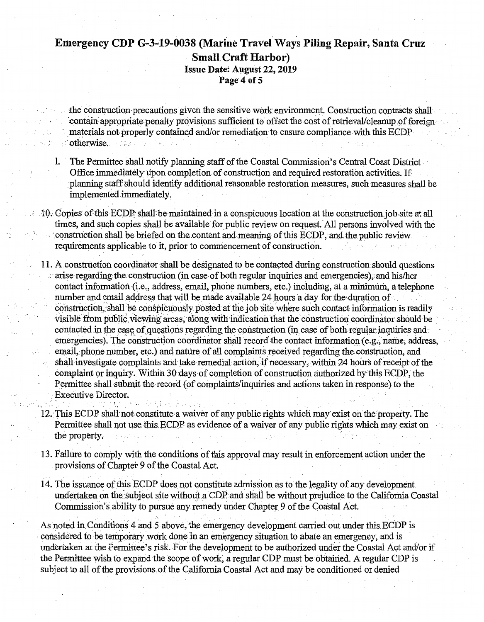### Emergency CDP G-3-19-0038 (Marine Travel Ways Piling Repair, Santa Cruz **Small Craft Harbor**) Issue Date: August 22, 2019 Page 4 of 5

the construction precautions given the sensitive work environment. Construction contracts shall contain appropriate penalty provisions sufficient to offset the cost of retrieval/cleanup of foreign materials not properly contained and/or remediation to ensure compliance with this ECDP otherwise. tibels.

- The Permittee shall notify planning staff of the Coastal Commission's Central Coast District 1. Office immediately upon completion of construction and required restoration activities. If planning staff should identify additional reasonable restoration measures, such measures shall be implemented immediately.
- 10. Copies of this ECDP shall be maintained in a conspicuous location at the construction job site at all times, and such copies shall be available for public review on request. All persons involved with the construction shall be briefed on the content and meaning of this ECDP, and the public review requirements applicable to it, prior to commencement of construction.
- 11. A construction coordinator shall be designated to be contacted during construction should questions arise regarding the construction (in case of both regular inquiries and emergencies), and his/her contact information (i.e., address, email, phone numbers, etc.) including, at a minimum, a telephone number and email address that will be made available 24 hours a day for the duration of construction, shall be conspicuously posted at the job site where such contact information is readily visible from public viewing areas, along with indication that the construction coordinator should be contacted in the case of questions regarding the construction (in case of both regular inquiries and emergencies). The construction coordinator shall record the contact information (e.g., name, address, email, phone number, etc.) and nature of all complaints received regarding the construction, and shall investigate complaints and take remedial action, if necessary, within 24 hours of receipt of the complaint or inquiry. Within 30 days of completion of construction authorized by this ECDP, the Permittee shall submit the record (of complaints/inquiries and actions taken in response) to the Executive Director.
- 12. This ECDP shall not constitute a waiver of any public rights which may exist on the property. The Permittee shall not use this ECDP as evidence of a waiver of any public rights which may exist on the property.
- 13. Failure to comply with the conditions of this approval may result in enforcement action under the provisions of Chapter 9 of the Coastal Act.
- 14. The issuance of this ECDP does not constitute admission as to the legality of any development undertaken on the subject site without a CDP and shall be without prejudice to the California Coastal Commission's ability to pursue any remedy under Chapter 9 of the Coastal Act.

As noted in Conditions 4 and 5 above, the emergency development carried out under this ECDP is considered to be temporary work done in an emergency situation to abate an emergency, and is undertaken at the Permittee's risk. For the development to be authorized under the Coastal Act and/or if the Permittee wish to expand the scope of work, a regular CDP must be obtained. A regular CDP is subject to all of the provisions of the California Coastal Act and may be conditioned or denied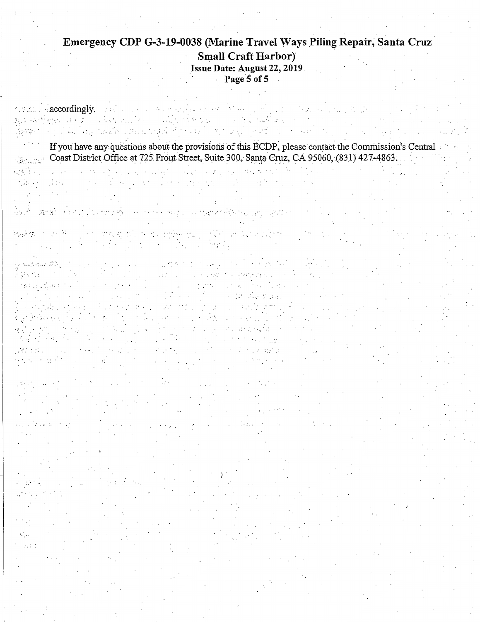#### Emergency CDP G-3-19-0038 (Marine Travel Ways Piling Repair, Santa Cruz **Small Craft Harbor)** Issue Date: August 22, 2019 Page 5 of 5 J.

or small class ordingly. The class of the complex second let be a policies of the property of the property  $\mathfrak{g}_{\mathbb{R}^2}$  and the set of  $\mathbb{R}^2$  . Thus implies the set of the sum of the set of multipliers Represent the problem in the state of the contribution of the contribution of the contribution of the contribution of the contribution of the contribution of the contribution of the contribution of the contribution of the If you have any questions about the provisions of this ECDP, please contact the Commission's Central Coast District Office at 725 Front Street, Suite 300, Santa Cruz, CA 95060, (831) 427-4863. and the second company of the second company of the second company of the second company of the second company of the second company of the second company of the second company of the second company of the second company o an Chen  $\mathbb{R}^{n \times n}$  . a state of the control of the state of the 化基 医心腹切除术 And I want the state of the company of the second property that the second company of the second second second denken an de 1970 is een dienste politiek en die gebeurenig van Versaard in die gebruik.<br>Sy die groot van die gebruik van die gebruik van die gebruik van die gebruik van die gebruik van die gebruik v ga bolanding in the second company of the state of the state of the state of the state of the state of the sta<br>A law that is the state of the state of the state of the state of the state of the state of the state of the s<br> dealer of our collection of the collection of the sp n de la constitución de  $\mathcal{L}_{\mathcal{A}}(\mathcal{A})=\mathcal{L}_{\mathcal{A}}(\mathcal{A})=\mathcal{L}_{\mathcal{A}}(\mathcal{A})=\mathcal{L}_{\mathcal{A}}(\mathcal{A})=\mathcal{L}_{\mathcal{A}}(\mathcal{A})=\mathcal{L}_{\mathcal{A}}(\mathcal{A})=\mathcal{L}_{\mathcal{A}}(\mathcal{A})=\mathcal{L}_{\mathcal{A}}(\mathcal{A})=\mathcal{L}_{\mathcal{A}}(\mathcal{A})=\mathcal{L}_{\mathcal{A}}(\mathcal{A})=\mathcal{L}_{\mathcal{A}}(\mathcal{A})=\mathcal{L}_{\mathcal{A}}(\mathcal{A})=\mathcal{$  $\mathcal{A}^{\mathcal{A}}_{\mathcal{A}}$  and the set of the set of the set of the set of the set of the set of the set of the set of the set of the set of the set of the set of the set of the set of the set of the set of the set of the set  $\mathcal{L}(\mathcal{A})=\{1,2,3\}$ i se portuguesa estas constantes por aproxi  $\label{eq:2} \mathcal{L}^{\text{max}}(\mathcal{L}^{\text{max}}_{\text{max}}, \mathcal{L}^{\text{max}}_{\text{max}}), \mathcal{L}^{\text{max}}_{\text{max}})$  $\sim 10^{-11}$ e na serie de  $\sim 10^{11}$ Beatle work **Carl Corporation**  $\mathcal{P}=\{1,2,3\}$  $\mathbb{R}^{n \times n}$ V.  $\pm 1$